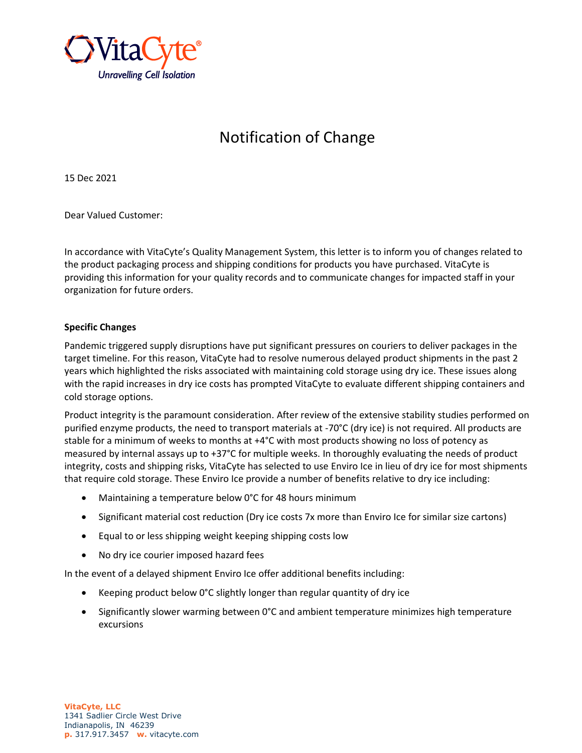

# Notification of Change

15 Dec 2021

Dear Valued Customer:

In accordance with VitaCyte's Quality Management System, this letter is to inform you of changes related to the product packaging process and shipping conditions for products you have purchased. VitaCyte is providing this information for your quality records and to communicate changes for impacted staff in your organization for future orders.

## **Specific Changes**

Pandemic triggered supply disruptions have put significant pressures on couriers to deliver packages in the target timeline. For this reason, VitaCyte had to resolve numerous delayed product shipments in the past 2 years which highlighted the risks associated with maintaining cold storage using dry ice. These issues along with the rapid increases in dry ice costs has prompted VitaCyte to evaluate different shipping containers and cold storage options.

Product integrity is the paramount consideration. After review of the extensive stability studies performed on purified enzyme products, the need to transport materials at -70°C (dry ice) is not required. All products are stable for a minimum of weeks to months at +4°C with most products showing no loss of potency as measured by internal assays up to +37°C for multiple weeks. In thoroughly evaluating the needs of product integrity, costs and shipping risks, VitaCyte has selected to use Enviro Ice in lieu of dry ice for most shipments that require cold storage. These Enviro Ice provide a number of benefits relative to dry ice including:

- Maintaining a temperature below 0°C for 48 hours minimum
- Significant material cost reduction (Dry ice costs 7x more than Enviro Ice for similar size cartons)
- Equal to or less shipping weight keeping shipping costs low
- No dry ice courier imposed hazard fees

In the event of a delayed shipment Enviro Ice offer additional benefits including:

- Keeping product below 0°C slightly longer than regular quantity of dry ice
- Significantly slower warming between 0°C and ambient temperature minimizes high temperature excursions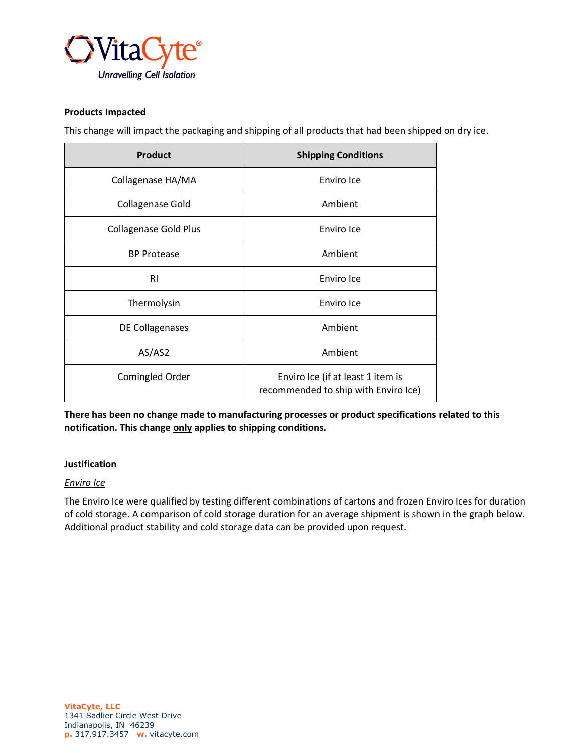

## **Products Impacted**

This change will impact the packaging and shipping of all products that had been shipped on dry ice.

| <b>Product</b>               | <b>Shipping Conditions</b>                                                |
|------------------------------|---------------------------------------------------------------------------|
| Collagenase HA/MA            | Enviro Ice                                                                |
| Collagenase Gold             | Ambient                                                                   |
| <b>Collagenase Gold Plus</b> | Enviro Ice                                                                |
| <b>BP Protease</b>           | Ambient                                                                   |
| RI                           | Enviro Ice                                                                |
| Thermolysin                  | Enviro Ice                                                                |
| DE Collagenases              | Ambient                                                                   |
| AS/AS2                       | Ambient                                                                   |
| Comingled Order              | Enviro Ice (if at least 1 item is<br>recommended to ship with Enviro Ice) |

**There has been no change made to manufacturing processes or product specifications related to this notification. This change only applies to shipping conditions.**

#### **Justification**

#### *Enviro Ice*

The Enviro Ice were qualified by testing different combinations of cartons and frozen Enviro Ices for duration of cold storage. A comparison of cold storage duration for an average shipment is shown in the graph below. Additional product stability and cold storage data can be provided upon request.